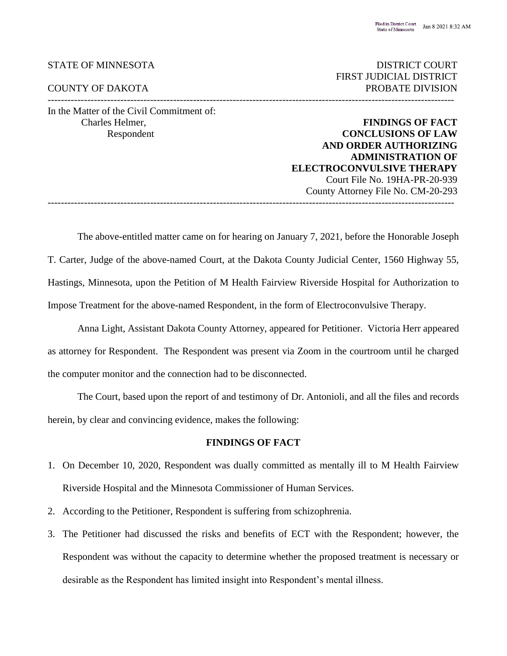# STATE OF MINNESOTA

#### COUNTY OF DAKOTA PROBATE DIVISION

In the Matter of the Civil Commitment of:

--------------------------------------------------------------------------------------------------------------------------- Charles Helmer, **FINDINGS OF FACT**

FIRST JUDICIAL DISTRICT

**CONCLUSIONS OF LAW AND ORDER AUTHORIZING ADMINISTRATION OF ELECTROCONVULSIVE THERAPY** Court File No. 19HA-PR-20-939 County Attorney File No. CM-20-293 ---------------------------------------------------------------------------------------------------------------------------

The above-entitled matter came on for hearing on January 7, 2021, before the Honorable Joseph T. Carter, Judge of the above-named Court, at the Dakota County Judicial Center, 1560 Highway 55, Hastings, Minnesota, upon the Petition of M Health Fairview Riverside Hospital for Authorization to Impose Treatment for the above-named Respondent, in the form of Electroconvulsive Therapy.

Anna Light, Assistant Dakota County Attorney, appeared for Petitioner. Victoria Herr appeared as attorney for Respondent. The Respondent was present via Zoom in the courtroom until he charged the computer monitor and the connection had to be disconnected.

The Court, based upon the report of and testimony of Dr. Antonioli, and all the files and records herein, by clear and convincing evidence, makes the following:

## **FINDINGS OF FACT**

- 1. On December 10, 2020, Respondent was dually committed as mentally ill to M Health Fairview Riverside Hospital and the Minnesota Commissioner of Human Services.
- 2. According to the Petitioner, Respondent is suffering from schizophrenia.
- 3. The Petitioner had discussed the risks and benefits of ECT with the Respondent; however, the Respondent was without the capacity to determine whether the proposed treatment is necessary or desirable as the Respondent has limited insight into Respondent's mental illness.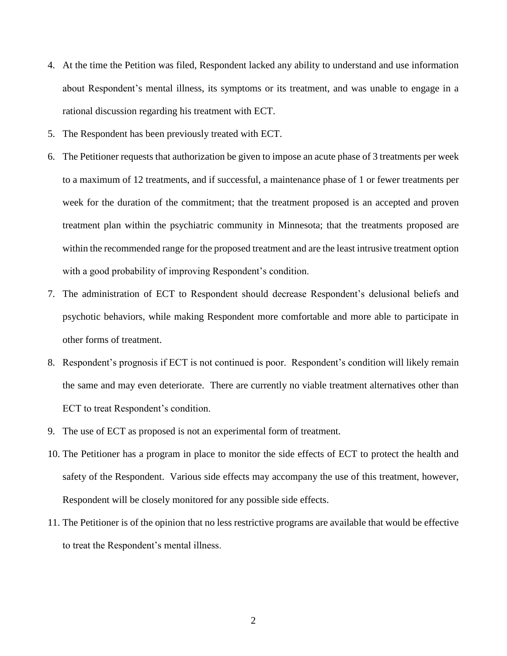- 4. At the time the Petition was filed, Respondent lacked any ability to understand and use information about Respondent's mental illness, its symptoms or its treatment, and was unable to engage in a rational discussion regarding his treatment with ECT.
- 5. The Respondent has been previously treated with ECT.
- 6. The Petitioner requests that authorization be given to impose an acute phase of 3 treatments per week to a maximum of 12 treatments, and if successful, a maintenance phase of 1 or fewer treatments per week for the duration of the commitment; that the treatment proposed is an accepted and proven treatment plan within the psychiatric community in Minnesota; that the treatments proposed are within the recommended range for the proposed treatment and are the least intrusive treatment option with a good probability of improving Respondent's condition.
- 7. The administration of ECT to Respondent should decrease Respondent's delusional beliefs and psychotic behaviors, while making Respondent more comfortable and more able to participate in other forms of treatment.
- 8. Respondent's prognosis if ECT is not continued is poor. Respondent's condition will likely remain the same and may even deteriorate. There are currently no viable treatment alternatives other than ECT to treat Respondent's condition.
- 9. The use of ECT as proposed is not an experimental form of treatment.
- 10. The Petitioner has a program in place to monitor the side effects of ECT to protect the health and safety of the Respondent. Various side effects may accompany the use of this treatment, however, Respondent will be closely monitored for any possible side effects.
- 11. The Petitioner is of the opinion that no less restrictive programs are available that would be effective to treat the Respondent's mental illness.